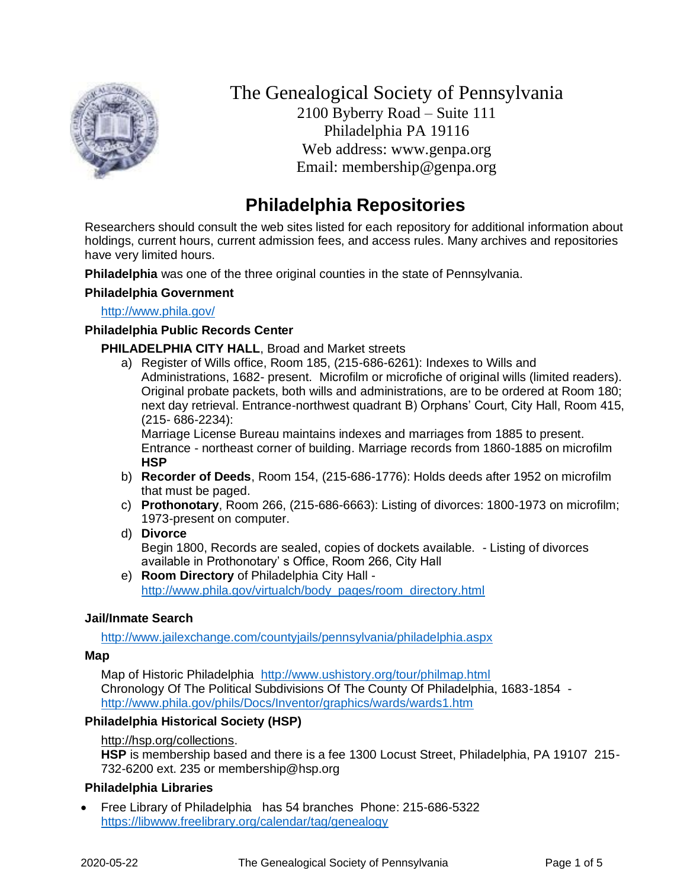

The Genealogical Society of Pennsylvania 2100 Byberry Road – Suite 111 Philadelphia PA 19116 Web address: www.genpa.org Email: membership@genpa.org

# **Philadelphia Repositories**

Researchers should consult the web sites listed for each repository for additional information about holdings, current hours, current admission fees, and access rules. Many archives and repositories have very limited hours.

**Philadelphia** was one of the three original counties in the state of Pennsylvania.

## **Philadelphia Government**

<http://www.phila.gov/>

#### **Philadelphia Public Records Center**

**PHILADELPHIA CITY HALL**, Broad and Market streets

a) Register of Wills office, Room 185, (215-686-6261): Indexes to Wills and Administrations, 1682- present. Microfilm or microfiche of original wills (limited readers). Original probate packets, both wills and administrations, are to be ordered at Room 180; next day retrieval. Entrance-northwest quadrant B) Orphans' Court, City Hall, Room 415, (215- 686-2234):

Marriage License Bureau maintains indexes and marriages from 1885 to present. Entrance - northeast corner of building. Marriage records from 1860-1885 on microfilm **HSP**

- b) **Recorder of Deeds**, Room 154, (215-686-1776): Holds deeds after 1952 on microfilm that must be paged.
- c) **Prothonotary**, Room 266, (215-686-6663): Listing of divorces: 1800-1973 on microfilm; 1973-present on computer.
- d) **Divorce**

Begin 1800, Records are sealed, copies of dockets available. - Listing of divorces available in Prothonotary' s Office, Room 266, City Hall

e) **Room Directory** of Philadelphia City Hall [http://www.phila.gov/virtualch/body\\_pages/room\\_directory.html](http://www.phila.gov/virtualch/body_pages/room_directory.html)

## **Jail/Inmate Search**

<http://www.jailexchange.com/countyjails/pennsylvania/philadelphia.aspx>

#### **Map**

Map of Historic Philadelphia <http://www.ushistory.org/tour/philmap.html> Chronology Of The Political Subdivisions Of The County Of Philadelphia, 1683-1854 <http://www.phila.gov/phils/Docs/Inventor/graphics/wards/wards1.htm>

## **Philadelphia Historical Society (HSP)**

#### [http://hsp.org/collections.](http://hsp.org/collections)

**HSP** is membership based and there is a fee 1300 Locust Street, Philadelphia, PA 19107 215- 732-6200 ext. 235 or membership@hsp.org

## **Philadelphia Libraries**

• Free Library of Philadelphia has 54 branches Phone: 215-686-5322 <https://libwww.freelibrary.org/calendar/tag/genealogy>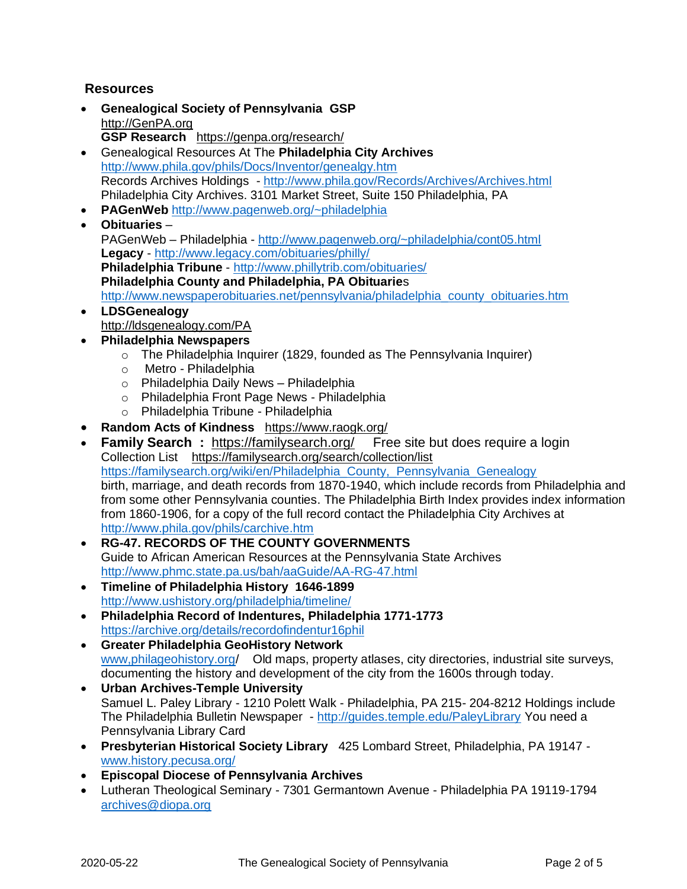# **Resources**

- **Genealogical Society of Pennsylvania GSP** [http://GenPA.org](http://genpa.org/) **GSP Research** <https://genpa.org/research/>
- Genealogical Resources At The **Philadelphia City Archives** <http://www.phila.gov/phils/Docs/Inventor/genealgy.htm> Records Archives Holdings - <http://www.phila.gov/Records/Archives/Archives.html> Philadelphia City Archives. 3101 Market Street, Suite 150 Philadelphia, PA
- **PAGenWeb** <http://www.pagenweb.org/~philadelphia>
- **Obituaries** PAGenWeb – Philadelphia - <http://www.pagenweb.org/~philadelphia/cont05.html> **Legacy** - <http://www.legacy.com/obituaries/philly/> **Philadelphia Tribune** - <http://www.phillytrib.com/obituaries/> **Philadelphia County and Philadelphia, PA Obituarie**s [http://www.newspaperobituaries.net/pennsylvania/philadelphia\\_county\\_obituaries.htm](http://www.newspaperobituaries.net/pennsylvania/philadelphia_county_obituaries.htm)
- **LDSGenealogy** <http://ldsgenealogy.com/PA>
- **Philadelphia Newspapers** 
	- o The Philadelphia Inquirer (1829, founded as The Pennsylvania Inquirer)
	- o Metro Philadelphia
	- o Philadelphia Daily News Philadelphia
	- o Philadelphia Front Page News Philadelphia
	- o Philadelphia Tribune Philadelphia
- **Random Acts of Kindness** <https://www.raogk.org/>
- **Family Search**: <https://familysearch.org/> Free site but does require a login Collection List <https://familysearch.org/search/collection/list> [https://familysearch.org/wiki/en/Philadelphia\\_County,\\_Pennsylvania\\_Genealogy](https://familysearch.org/wiki/en/Philadelphia_County,_Pennsylvania_Genealogy) birth, marriage, and death records from 1870-1940, which include records from Philadelphia and from some other Pennsylvania counties. The Philadelphia Birth Index provides index information from 1860-1906, for a copy of the full record contact the Philadelphia City Archives at <http://www.phila.gov/phils/carchive.htm>
- **RG-47. RECORDS OF THE COUNTY GOVERNMENTS** Guide to African American Resources at the Pennsylvania State Archives <http://www.phmc.state.pa.us/bah/aaGuide/AA-RG-47.html>
- **Timeline of Philadelphia History 1646-1899** <http://www.ushistory.org/philadelphia/timeline/>
- **Philadelphia Record of Indentures, Philadelphia 1771-1773**  <https://archive.org/details/recordofindentur16phil>
- **Greater Philadelphia GeoHistory Network** [www,philageohistory.org/](http://www,philageohistory.org/) Old maps, property atlases, city directories, industrial site surveys, documenting the history and development of the city from the 1600s through today.
- **Urban Archives-Temple University** Samuel L. Paley Library - 1210 Polett Walk - Philadelphia, PA 215- 204-8212 Holdings include The Philadelphia Bulletin Newspaper - <http://guides.temple.edu/PaleyLibrary> You need a Pennsylvania Library Card
- **Presbyterian Historical Society Library** 425 Lombard Street, Philadelphia, PA 19147 [www.history.pecusa.org/](http://www.history.pecusa.org/)
- **Episcopal Diocese of Pennsylvania Archives**
- Lutheran Theological Seminary 7301 Germantown Avenue Philadelphia PA 19119-1794 [archives@diopa.org](mailto:archives@diopa.org)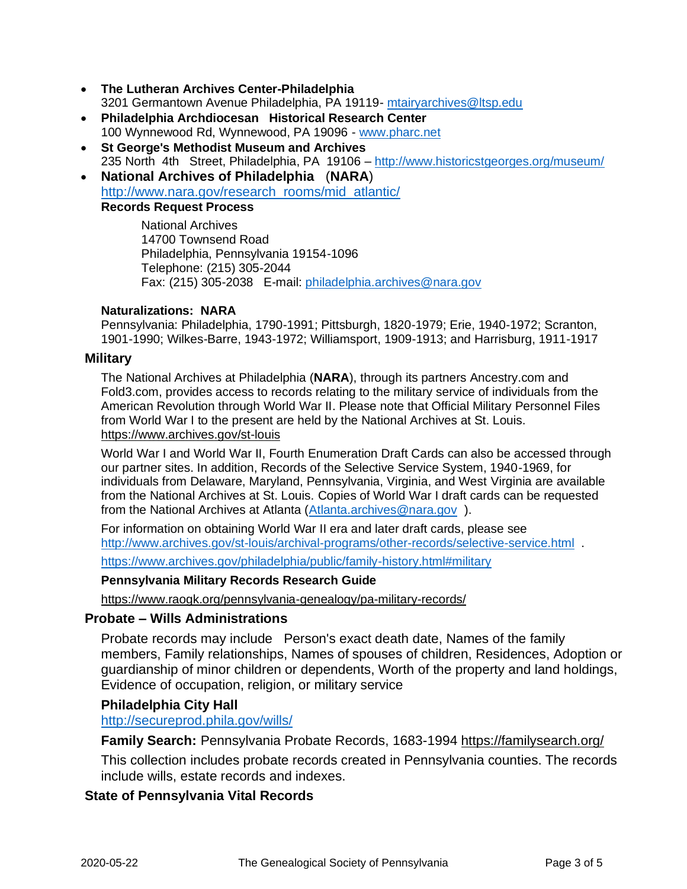- **The Lutheran Archives Center-Philadelphia** 3201 Germantown Avenue Philadelphia, PA 19119- [mtairyarchives@ltsp.edu](mailto:mtairyarchives@ltsp.edu)
- **Philadelphia Archdiocesan Historical Research Center**  100 Wynnewood Rd, Wynnewood, PA 19096 - [www.pharc.net](http://www.pharc.net/)
- **St George's Methodist Museum and Archives** 235 North 4th Street, Philadelphia, PA 19106 – <http://www.historicstgeorges.org/museum/>
- **National Archives of Philadelphia** (**NARA**) [http://www.nara.gov/research\\_rooms/mid\\_atlantic/](http://www.nara.gov/research_rooms/mid_atlantic/) **Records Request Process**

National Archives 14700 Townsend Road Philadelphia, Pennsylvania 19154-1096 Telephone: (215) 305-2044 Fax: (215) 305-2038 E-mail: [philadelphia.archives@nara.gov](mailto:philadelphia.archives@nara.gov)

## **Naturalizations: NARA**

Pennsylvania: Philadelphia, 1790-1991; Pittsburgh, 1820-1979; Erie, 1940-1972; Scranton, 1901-1990; Wilkes-Barre, 1943-1972; Williamsport, 1909-1913; and Harrisburg, 1911-1917

## **Military**

The National Archives at Philadelphia (**NARA**), through its partners Ancestry.com and Fold3.com, provides access to records relating to the military service of individuals from the American Revolution through World War II. Please note that Official Military Personnel Files from World War I to the present are held by the National Archives at St. Louis. <https://www.archives.gov/st-louis>

World War I and World War II, Fourth Enumeration Draft Cards can also be accessed through our partner sites. In addition, Records of the Selective Service System, 1940-1969, for individuals from Delaware, Maryland, Pennsylvania, Virginia, and West Virginia are available from the National Archives at St. Louis. Copies of World War I draft cards can be requested from the National Archives at Atlanta [\(Atlanta.archives@nara.gov](mailto:Atlanta.archives@nara.gov)).

For information on obtaining World War II era and later draft cards, please see <http://www.archives.gov/st-louis/archival-programs/other-records/selective-service.html> .

<https://www.archives.gov/philadelphia/public/family-history.html#military>

## **Pennsylvania Military Records Research Guide**

<https://www.raogk.org/pennsylvania-genealogy/pa-military-records/>

## **Probate – Wills Administrations**

Probate records may include Person's exact death date, Names of the family members, Family relationships, Names of spouses of children, Residences, Adoption or guardianship of minor children or dependents, Worth of the property and land holdings, Evidence of occupation, religion, or military service

## **Philadelphia City Hall**

<http://secureprod.phila.gov/wills/>

**Family Search:** Pennsylvania Probate Records, 1683-1994 <https://familysearch.org/>

This collection includes probate records created in Pennsylvania counties. The records include wills, estate records and indexes.

## **State of Pennsylvania Vital Records**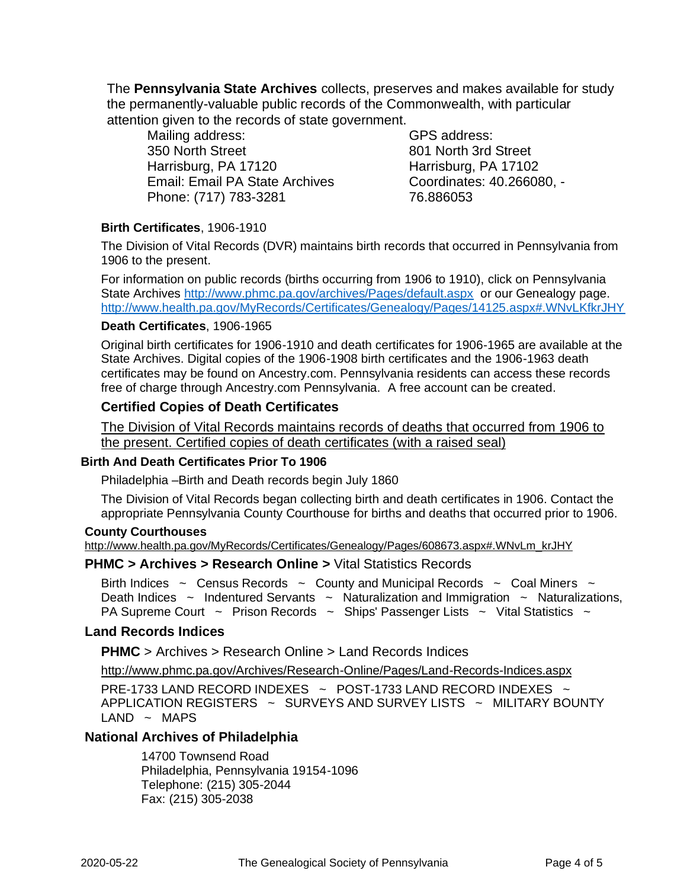The **Pennsylvania State Archives** collects, preserves and makes available for study the permanently-valuable public records of the Commonwealth, with particular attention given to the records of state government.

Mailing address: 350 North Street Harrisburg, PA 17120 Email: Email PA State Archives Phone: (717) 783-3281

GPS address: 801 North 3rd Street Harrisburg, PA 17102 Coordinates: 40.266080, - 76.886053

## **Birth Certificates**, 1906-1910

The Division of Vital Records (DVR) maintains birth records that occurred in Pennsylvania from 1906 to the present.

For information on public records (births occurring from 1906 to 1910), click on Pennsylvania State Archives <http://www.phmc.pa.gov/archives/Pages/default.aspx> or our Genealogy page. <http://www.health.pa.gov/MyRecords/Certificates/Genealogy/Pages/14125.aspx#.WNvLKfkrJHY>

## **Death Certificates**, 1906-1965

Original birth certificates for 1906-1910 and death certificates for 1906-1965 are available at the State Archives. Digital copies of the 1906-1908 birth certificates and the 1906-1963 death certificates may be found on Ancestry.com. Pennsylvania residents can access these records free of charge through Ancestry.com Pennsylvania. A free account can be created.

## **Certified Copies of Death Certificates**

[The Division of Vital Records maintains records of deaths that occurred from 1906 to](http://www.health.pa.gov/MyRecords/Certificates/DeathCertificates/Pages/default.aspx#.V9RjGa3cyH5)  [the present. Certified copies of death certificates \(with a raised seal\)](http://www.health.pa.gov/MyRecords/Certificates/DeathCertificates/Pages/default.aspx#.V9RjGa3cyH5)

## **Birth And Death Certificates Prior To 1906**

Philadelphia –Birth and Death records begin July 1860

The Division of Vital Records began collecting birth and death certificates in 1906. Contact the appropriate Pennsylvania County Courthouse for births and deaths that occurred prior to 1906.

#### **County Courthouses**

[http://www.health.pa.gov/MyRecords/Certificates/Genealogy/Pages/608673.aspx#.WNvLm\\_krJHY](http://www.health.pa.gov/MyRecords/Certificates/Genealogy/Pages/608673.aspx#.WNvLm_krJHY)

## **PHMC > Archives > Research Online >** [Vital Statistics Records](http://www.phmc.pa.gov/Archives/Research-Online/Pages/Vital-Statistics.aspx)

Birth Indices  $\sim$  Census Records  $\sim$  County and Municipal Records  $\sim$  Coal Miners  $\sim$ Death Indices  $\sim$  Indentured Servants  $\sim$  Naturalization and Immigration  $\sim$  Naturalizations, PA Supreme Court  $\sim$  Prison Records  $\sim$  Ships' Passenger Lists  $\sim$  Vital Statistics  $\sim$ 

## **Land Records Indices**

**PHMC** > Archives > Research Online > Land Records Indices

<http://www.phmc.pa.gov/Archives/Research-Online/Pages/Land-Records-Indices.aspx>

PRE-1733 LAND RECORD INDEXES  $\sim$  POST-1733 LAND RECORD INDEXES  $\sim$ APPLICATION REGISTERS ~ SURVEYS AND SURVEY LISTS ~ MILITARY BOUNTY  $LAND \sim MAPS$ 

## **National Archives of Philadelphia**

14700 Townsend Road Philadelphia, Pennsylvania 19154-1096 Telephone: (215) 305-2044 Fax: (215) 305-2038